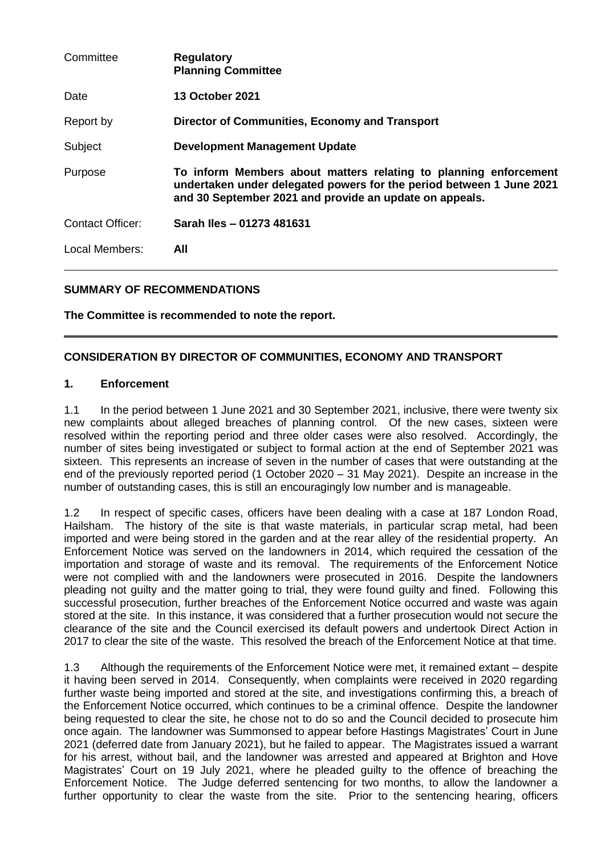| Committee               | <b>Regulatory</b><br><b>Planning Committee</b>                                                                                                                                                      |
|-------------------------|-----------------------------------------------------------------------------------------------------------------------------------------------------------------------------------------------------|
| Date                    | <b>13 October 2021</b>                                                                                                                                                                              |
| Report by               | Director of Communities, Economy and Transport                                                                                                                                                      |
| Subject                 | <b>Development Management Update</b>                                                                                                                                                                |
| Purpose                 | To inform Members about matters relating to planning enforcement<br>undertaken under delegated powers for the period between 1 June 2021<br>and 30 September 2021 and provide an update on appeals. |
| <b>Contact Officer:</b> | Sarah Iles - 01273 481631                                                                                                                                                                           |
| Local Members:          | All                                                                                                                                                                                                 |

## **SUMMARY OF RECOMMENDATIONS**

**The Committee is recommended to note the report.**

#### **CONSIDERATION BY DIRECTOR OF COMMUNITIES, ECONOMY AND TRANSPORT**

#### **1. Enforcement**

1.1 In the period between 1 June 2021 and 30 September 2021, inclusive, there were twenty six new complaints about alleged breaches of planning control. Of the new cases, sixteen were resolved within the reporting period and three older cases were also resolved. Accordingly, the number of sites being investigated or subject to formal action at the end of September 2021 was sixteen. This represents an increase of seven in the number of cases that were outstanding at the end of the previously reported period (1 October 2020 – 31 May 2021). Despite an increase in the number of outstanding cases, this is still an encouragingly low number and is manageable.

1.2 In respect of specific cases, officers have been dealing with a case at 187 London Road, Hailsham. The history of the site is that waste materials, in particular scrap metal, had been imported and were being stored in the garden and at the rear alley of the residential property. An Enforcement Notice was served on the landowners in 2014, which required the cessation of the importation and storage of waste and its removal. The requirements of the Enforcement Notice were not complied with and the landowners were prosecuted in 2016. Despite the landowners pleading not guilty and the matter going to trial, they were found guilty and fined. Following this successful prosecution, further breaches of the Enforcement Notice occurred and waste was again stored at the site. In this instance, it was considered that a further prosecution would not secure the clearance of the site and the Council exercised its default powers and undertook Direct Action in 2017 to clear the site of the waste. This resolved the breach of the Enforcement Notice at that time.

1.3 Although the requirements of the Enforcement Notice were met, it remained extant – despite it having been served in 2014. Consequently, when complaints were received in 2020 regarding further waste being imported and stored at the site, and investigations confirming this, a breach of the Enforcement Notice occurred, which continues to be a criminal offence. Despite the landowner being requested to clear the site, he chose not to do so and the Council decided to prosecute him once again. The landowner was Summonsed to appear before Hastings Magistrates' Court in June 2021 (deferred date from January 2021), but he failed to appear. The Magistrates issued a warrant for his arrest, without bail, and the landowner was arrested and appeared at Brighton and Hove Magistrates' Court on 19 July 2021, where he pleaded guilty to the offence of breaching the Enforcement Notice. The Judge deferred sentencing for two months, to allow the landowner a further opportunity to clear the waste from the site. Prior to the sentencing hearing, officers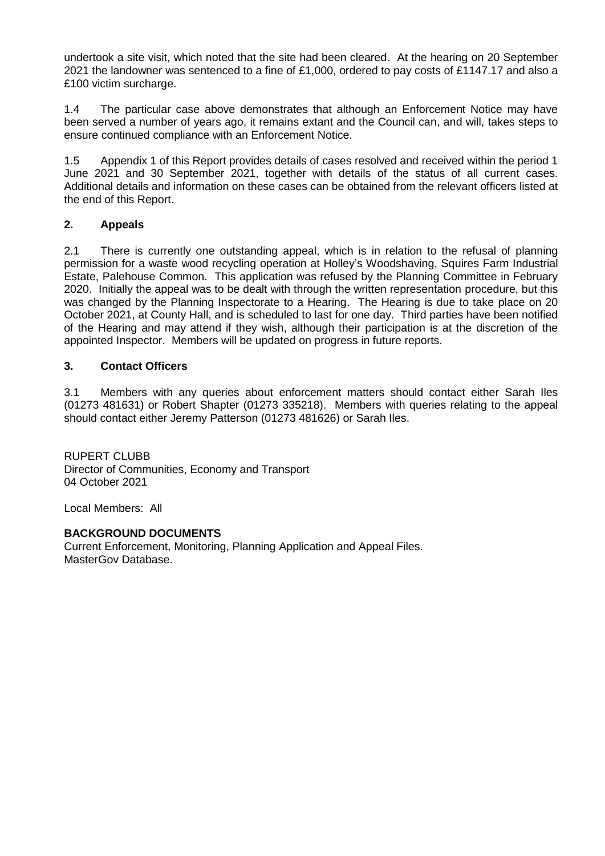undertook a site visit, which noted that the site had been cleared. At the hearing on 20 September 2021 the landowner was sentenced to a fine of £1,000, ordered to pay costs of £1147.17 and also a £100 victim surcharge.

1.4 The particular case above demonstrates that although an Enforcement Notice may have been served a number of years ago, it remains extant and the Council can, and will, takes steps to ensure continued compliance with an Enforcement Notice.

1.5 Appendix 1 of this Report provides details of cases resolved and received within the period 1 June 2021 and 30 September 2021, together with details of the status of all current cases. Additional details and information on these cases can be obtained from the relevant officers listed at the end of this Report.

## **2. Appeals**

2.1 There is currently one outstanding appeal, which is in relation to the refusal of planning permission for a waste wood recycling operation at Holley's Woodshaving, Squires Farm Industrial Estate, Palehouse Common. This application was refused by the Planning Committee in February 2020. Initially the appeal was to be dealt with through the written representation procedure, but this was changed by the Planning Inspectorate to a Hearing. The Hearing is due to take place on 20 October 2021, at County Hall, and is scheduled to last for one day. Third parties have been notified of the Hearing and may attend if they wish, although their participation is at the discretion of the appointed Inspector. Members will be updated on progress in future reports.

## **3. Contact Officers**

3.1 Members with any queries about enforcement matters should contact either Sarah Iles (01273 481631) or Robert Shapter (01273 335218). Members with queries relating to the appeal should contact either Jeremy Patterson (01273 481626) or Sarah Iles.

RUPERT CLUBB Director of Communities, Economy and Transport 04 October 2021

Local Members: All

### **BACKGROUND DOCUMENTS**

Current Enforcement, Monitoring, Planning Application and Appeal Files. MasterGov Database.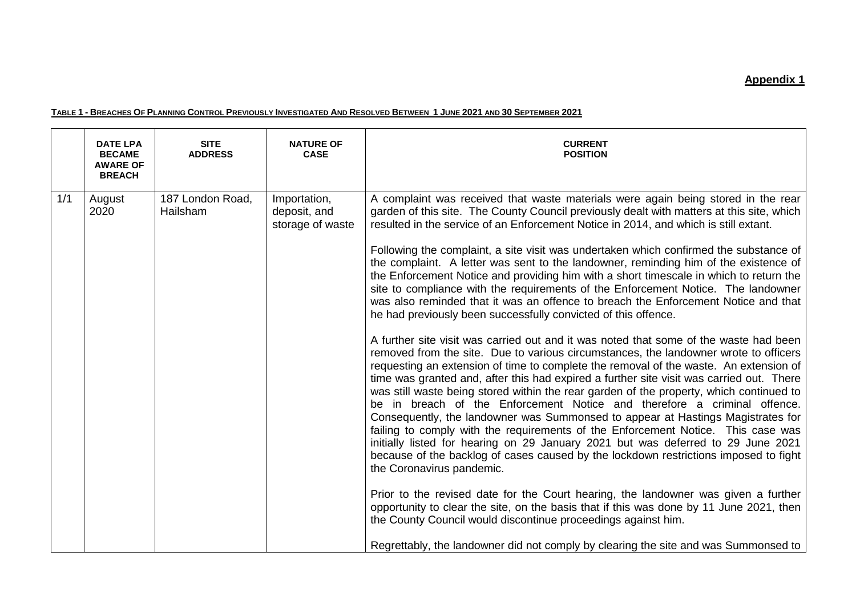# **Appendix 1**

#### TABLE 1 - BREACHES OF PLANNING CONTROL PREVIOUSLY INVESTIGATED AND RESOLVED BETWEEN 1 JUNE 2021 AND 30 SEPTEMBER 2021

|     | <b>DATE LPA</b><br><b>BECAME</b><br><b>AWARE OF</b><br><b>BREACH</b> | <b>SITE</b><br><b>ADDRESS</b> | <b>NATURE OF</b><br><b>CASE</b>                  | <b>CURRENT</b><br><b>POSITION</b>                                                                                                                                                                                                                                                                                                                                                                                                                                                                                                                                                                                                                                                                                                                                                                                                                                                                                                                                                                                                                                                                                                                                                                                                                                                                                                                                                                                                                                                                                                                                                                                                                                                                                                                                                                                                                                                                                                                                                                                                                                    |
|-----|----------------------------------------------------------------------|-------------------------------|--------------------------------------------------|----------------------------------------------------------------------------------------------------------------------------------------------------------------------------------------------------------------------------------------------------------------------------------------------------------------------------------------------------------------------------------------------------------------------------------------------------------------------------------------------------------------------------------------------------------------------------------------------------------------------------------------------------------------------------------------------------------------------------------------------------------------------------------------------------------------------------------------------------------------------------------------------------------------------------------------------------------------------------------------------------------------------------------------------------------------------------------------------------------------------------------------------------------------------------------------------------------------------------------------------------------------------------------------------------------------------------------------------------------------------------------------------------------------------------------------------------------------------------------------------------------------------------------------------------------------------------------------------------------------------------------------------------------------------------------------------------------------------------------------------------------------------------------------------------------------------------------------------------------------------------------------------------------------------------------------------------------------------------------------------------------------------------------------------------------------------|
| 1/1 | August<br>2020                                                       | 187 London Road,<br>Hailsham  | Importation,<br>deposit, and<br>storage of waste | A complaint was received that waste materials were again being stored in the rear<br>garden of this site. The County Council previously dealt with matters at this site, which<br>resulted in the service of an Enforcement Notice in 2014, and which is still extant.<br>Following the complaint, a site visit was undertaken which confirmed the substance of<br>the complaint. A letter was sent to the landowner, reminding him of the existence of<br>the Enforcement Notice and providing him with a short timescale in which to return the<br>site to compliance with the requirements of the Enforcement Notice. The landowner<br>was also reminded that it was an offence to breach the Enforcement Notice and that<br>he had previously been successfully convicted of this offence.<br>A further site visit was carried out and it was noted that some of the waste had been<br>removed from the site. Due to various circumstances, the landowner wrote to officers<br>requesting an extension of time to complete the removal of the waste. An extension of<br>time was granted and, after this had expired a further site visit was carried out. There<br>was still waste being stored within the rear garden of the property, which continued to<br>be in breach of the Enforcement Notice and therefore a criminal offence.<br>Consequently, the landowner was Summonsed to appear at Hastings Magistrates for<br>failing to comply with the requirements of the Enforcement Notice. This case was<br>initially listed for hearing on 29 January 2021 but was deferred to 29 June 2021<br>because of the backlog of cases caused by the lockdown restrictions imposed to fight<br>the Coronavirus pandemic.<br>Prior to the revised date for the Court hearing, the landowner was given a further<br>opportunity to clear the site, on the basis that if this was done by 11 June 2021, then<br>the County Council would discontinue proceedings against him.<br>Regrettably, the landowner did not comply by clearing the site and was Summonsed to |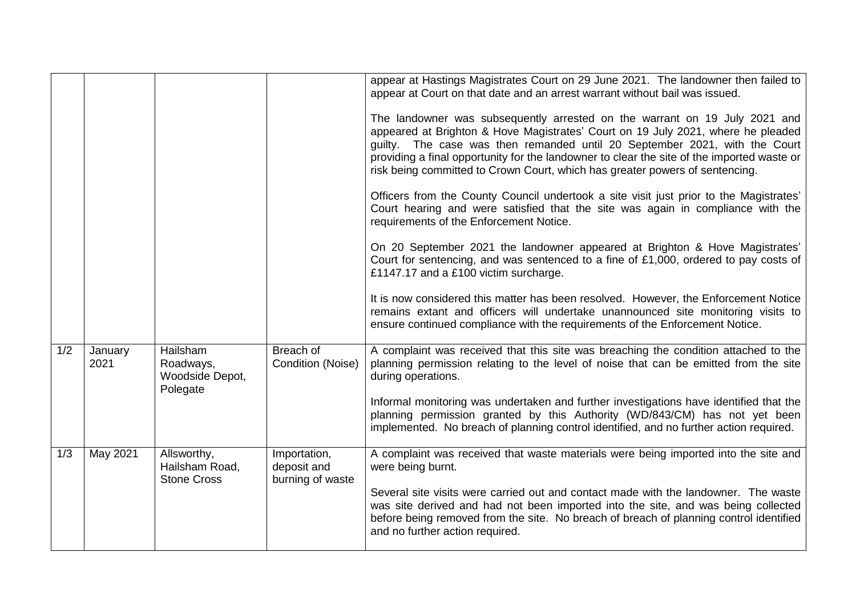|     |                 |                                                      |                                                 | appear at Hastings Magistrates Court on 29 June 2021. The landowner then failed to<br>appear at Court on that date and an arrest warrant without bail was issued.<br>The landowner was subsequently arrested on the warrant on 19 July 2021 and<br>appeared at Brighton & Hove Magistrates' Court on 19 July 2021, where he pleaded<br>guilty. The case was then remanded until 20 September 2021, with the Court<br>providing a final opportunity for the landowner to clear the site of the imported waste or<br>risk being committed to Crown Court, which has greater powers of sentencing.<br>Officers from the County Council undertook a site visit just prior to the Magistrates'<br>Court hearing and were satisfied that the site was again in compliance with the<br>requirements of the Enforcement Notice.<br>On 20 September 2021 the landowner appeared at Brighton & Hove Magistrates'<br>Court for sentencing, and was sentenced to a fine of £1,000, ordered to pay costs of<br>£1147.17 and a £100 victim surcharge. |
|-----|-----------------|------------------------------------------------------|-------------------------------------------------|-----------------------------------------------------------------------------------------------------------------------------------------------------------------------------------------------------------------------------------------------------------------------------------------------------------------------------------------------------------------------------------------------------------------------------------------------------------------------------------------------------------------------------------------------------------------------------------------------------------------------------------------------------------------------------------------------------------------------------------------------------------------------------------------------------------------------------------------------------------------------------------------------------------------------------------------------------------------------------------------------------------------------------------------|
|     |                 |                                                      |                                                 | It is now considered this matter has been resolved. However, the Enforcement Notice<br>remains extant and officers will undertake unannounced site monitoring visits to<br>ensure continued compliance with the requirements of the Enforcement Notice.                                                                                                                                                                                                                                                                                                                                                                                                                                                                                                                                                                                                                                                                                                                                                                                 |
| 1/2 | January<br>2021 | Hailsham<br>Roadways,<br>Woodside Depot,<br>Polegate | Breach of<br>Condition (Noise)                  | A complaint was received that this site was breaching the condition attached to the<br>planning permission relating to the level of noise that can be emitted from the site<br>during operations.                                                                                                                                                                                                                                                                                                                                                                                                                                                                                                                                                                                                                                                                                                                                                                                                                                       |
|     |                 |                                                      |                                                 | Informal monitoring was undertaken and further investigations have identified that the<br>planning permission granted by this Authority (WD/843/CM) has not yet been<br>implemented. No breach of planning control identified, and no further action required.                                                                                                                                                                                                                                                                                                                                                                                                                                                                                                                                                                                                                                                                                                                                                                          |
| 1/3 | May 2021        | Allsworthy,<br>Hailsham Road,<br><b>Stone Cross</b>  | Importation,<br>deposit and<br>burning of waste | A complaint was received that waste materials were being imported into the site and<br>were being burnt.                                                                                                                                                                                                                                                                                                                                                                                                                                                                                                                                                                                                                                                                                                                                                                                                                                                                                                                                |
|     |                 |                                                      |                                                 | Several site visits were carried out and contact made with the landowner. The waste<br>was site derived and had not been imported into the site, and was being collected<br>before being removed from the site. No breach of breach of planning control identified<br>and no further action required.                                                                                                                                                                                                                                                                                                                                                                                                                                                                                                                                                                                                                                                                                                                                   |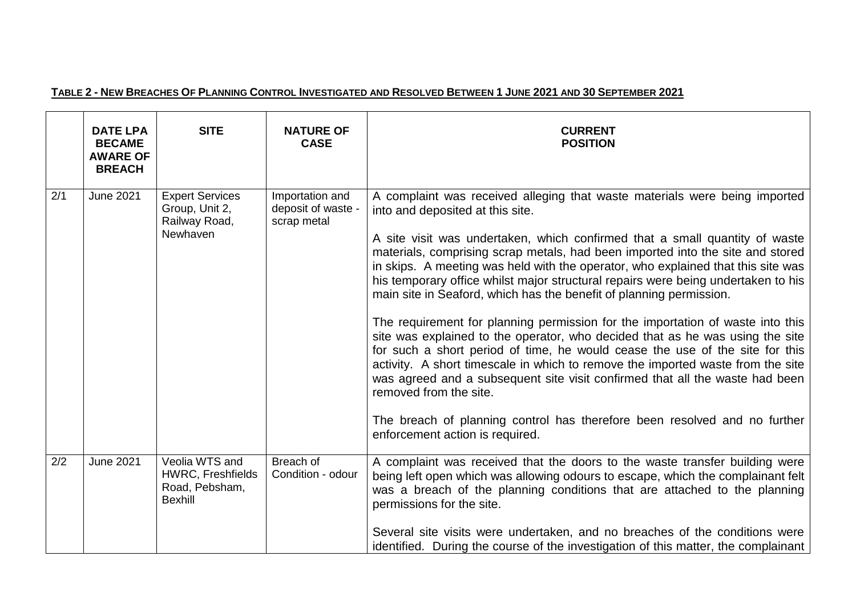# TABLE 2 - NEW BREACHES OF PLANNING CONTROL INVESTIGATED AND RESOLVED BETWEEN 1 JUNE 2021 AND 30 SEPTEMBER 2021

|     | <b>DATE LPA</b><br><b>BECAME</b><br><b>AWARE OF</b><br><b>BREACH</b> | <b>SITE</b>                                                                    | <b>NATURE OF</b><br><b>CASE</b>                      | <b>CURRENT</b><br><b>POSITION</b>                                                                                                                                                                                                                                                                                                                                                                                                                                                                                                                                                                                                                                                                                                                                                                                                                                                                                                                                                                                                                                                               |
|-----|----------------------------------------------------------------------|--------------------------------------------------------------------------------|------------------------------------------------------|-------------------------------------------------------------------------------------------------------------------------------------------------------------------------------------------------------------------------------------------------------------------------------------------------------------------------------------------------------------------------------------------------------------------------------------------------------------------------------------------------------------------------------------------------------------------------------------------------------------------------------------------------------------------------------------------------------------------------------------------------------------------------------------------------------------------------------------------------------------------------------------------------------------------------------------------------------------------------------------------------------------------------------------------------------------------------------------------------|
| 2/1 | <b>June 2021</b>                                                     | <b>Expert Services</b><br>Group, Unit 2,<br>Railway Road,<br>Newhaven          | Importation and<br>deposit of waste -<br>scrap metal | A complaint was received alleging that waste materials were being imported<br>into and deposited at this site.<br>A site visit was undertaken, which confirmed that a small quantity of waste<br>materials, comprising scrap metals, had been imported into the site and stored<br>in skips. A meeting was held with the operator, who explained that this site was<br>his temporary office whilst major structural repairs were being undertaken to his<br>main site in Seaford, which has the benefit of planning permission.<br>The requirement for planning permission for the importation of waste into this<br>site was explained to the operator, who decided that as he was using the site<br>for such a short period of time, he would cease the use of the site for this<br>activity. A short timescale in which to remove the imported waste from the site<br>was agreed and a subsequent site visit confirmed that all the waste had been<br>removed from the site.<br>The breach of planning control has therefore been resolved and no further<br>enforcement action is required. |
| 2/2 | <b>June 2021</b>                                                     | Veolia WTS and<br><b>HWRC, Freshfields</b><br>Road, Pebsham,<br><b>Bexhill</b> | Breach of<br>Condition - odour                       | A complaint was received that the doors to the waste transfer building were<br>being left open which was allowing odours to escape, which the complainant felt<br>was a breach of the planning conditions that are attached to the planning<br>permissions for the site.<br>Several site visits were undertaken, and no breaches of the conditions were<br>identified. During the course of the investigation of this matter, the complainant                                                                                                                                                                                                                                                                                                                                                                                                                                                                                                                                                                                                                                                   |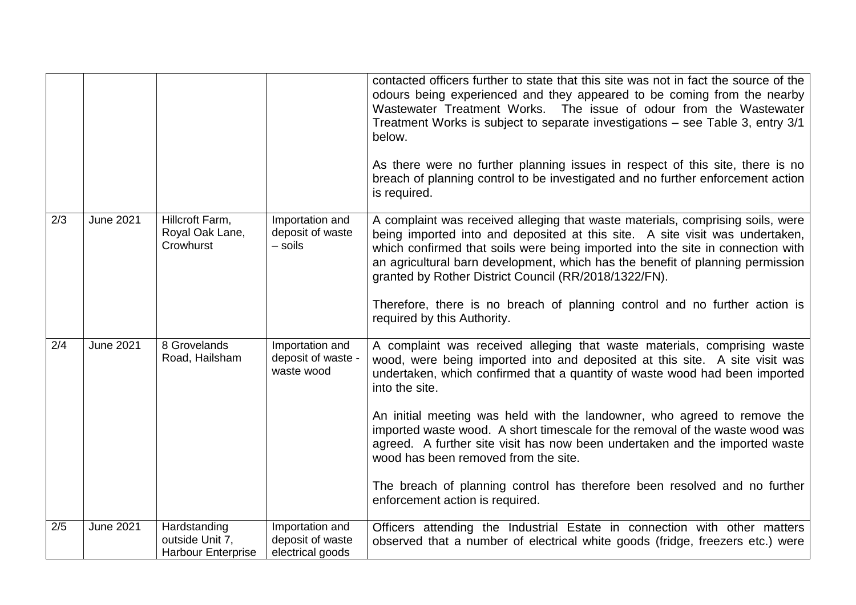|     |                  |                                                              |                                                         | contacted officers further to state that this site was not in fact the source of the<br>odours being experienced and they appeared to be coming from the nearby<br>Wastewater Treatment Works. The issue of odour from the Wastewater<br>Treatment Works is subject to separate investigations - see Table 3, entry 3/1<br>below.<br>As there were no further planning issues in respect of this site, there is no<br>breach of planning control to be investigated and no further enforcement action<br>is required.                                                                                                                                       |
|-----|------------------|--------------------------------------------------------------|---------------------------------------------------------|-------------------------------------------------------------------------------------------------------------------------------------------------------------------------------------------------------------------------------------------------------------------------------------------------------------------------------------------------------------------------------------------------------------------------------------------------------------------------------------------------------------------------------------------------------------------------------------------------------------------------------------------------------------|
| 2/3 | <b>June 2021</b> | Hillcroft Farm,<br>Royal Oak Lane,<br>Crowhurst              | Importation and<br>deposit of waste<br>$-$ soils        | A complaint was received alleging that waste materials, comprising soils, were<br>being imported into and deposited at this site. A site visit was undertaken,<br>which confirmed that soils were being imported into the site in connection with<br>an agricultural barn development, which has the benefit of planning permission<br>granted by Rother District Council (RR/2018/1322/FN).<br>Therefore, there is no breach of planning control and no further action is<br>required by this Authority.                                                                                                                                                   |
| 2/4 | <b>June 2021</b> | 8 Grovelands<br>Road, Hailsham                               | Importation and<br>deposit of waste -<br>waste wood     | A complaint was received alleging that waste materials, comprising waste<br>wood, were being imported into and deposited at this site. A site visit was<br>undertaken, which confirmed that a quantity of waste wood had been imported<br>into the site.<br>An initial meeting was held with the landowner, who agreed to remove the<br>imported waste wood. A short timescale for the removal of the waste wood was<br>agreed. A further site visit has now been undertaken and the imported waste<br>wood has been removed from the site.<br>The breach of planning control has therefore been resolved and no further<br>enforcement action is required. |
| 2/5 | <b>June 2021</b> | Hardstanding<br>outside Unit 7,<br><b>Harbour Enterprise</b> | Importation and<br>deposit of waste<br>electrical goods | Officers attending the Industrial Estate in connection with other matters<br>observed that a number of electrical white goods (fridge, freezers etc.) were                                                                                                                                                                                                                                                                                                                                                                                                                                                                                                  |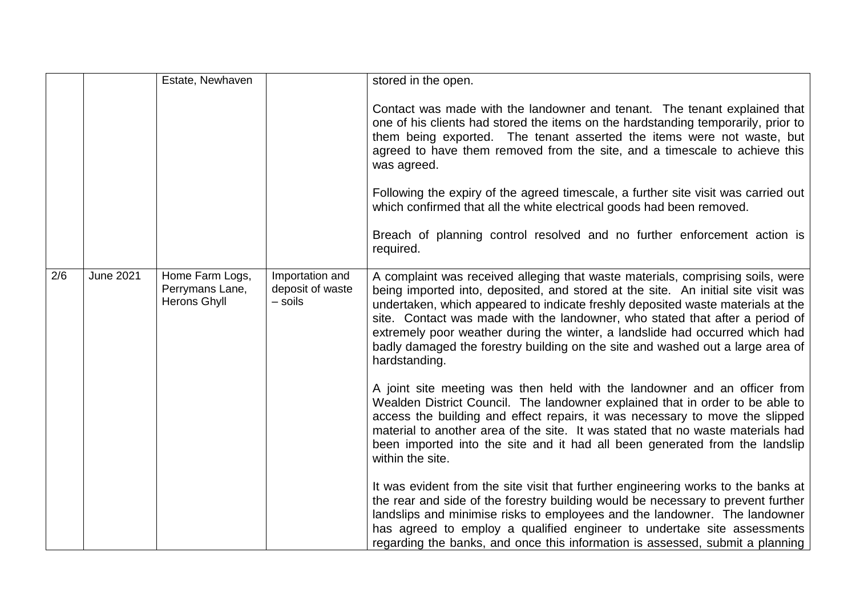|     |                  | Estate, Newhaven                                   |                                                | stored in the open.                                                                                                                                                                                                                                                                                                                                                                                                                                                                                                       |
|-----|------------------|----------------------------------------------------|------------------------------------------------|---------------------------------------------------------------------------------------------------------------------------------------------------------------------------------------------------------------------------------------------------------------------------------------------------------------------------------------------------------------------------------------------------------------------------------------------------------------------------------------------------------------------------|
|     |                  |                                                    |                                                | Contact was made with the landowner and tenant. The tenant explained that<br>one of his clients had stored the items on the hardstanding temporarily, prior to<br>them being exported. The tenant asserted the items were not waste, but<br>agreed to have them removed from the site, and a timescale to achieve this<br>was agreed.<br>Following the expiry of the agreed timescale, a further site visit was carried out<br>which confirmed that all the white electrical goods had been removed.                      |
|     |                  |                                                    |                                                | Breach of planning control resolved and no further enforcement action is<br>required.                                                                                                                                                                                                                                                                                                                                                                                                                                     |
| 2/6 | <b>June 2021</b> | Home Farm Logs,<br>Perrymans Lane,<br>Herons Ghyll | Importation and<br>deposit of waste<br>- soils | A complaint was received alleging that waste materials, comprising soils, were<br>being imported into, deposited, and stored at the site. An initial site visit was<br>undertaken, which appeared to indicate freshly deposited waste materials at the<br>site. Contact was made with the landowner, who stated that after a period of<br>extremely poor weather during the winter, a landslide had occurred which had<br>badly damaged the forestry building on the site and washed out a large area of<br>hardstanding. |
|     |                  |                                                    |                                                | A joint site meeting was then held with the landowner and an officer from<br>Wealden District Council. The landowner explained that in order to be able to<br>access the building and effect repairs, it was necessary to move the slipped<br>material to another area of the site. It was stated that no waste materials had<br>been imported into the site and it had all been generated from the landslip<br>within the site.                                                                                          |
|     |                  |                                                    |                                                | It was evident from the site visit that further engineering works to the banks at<br>the rear and side of the forestry building would be necessary to prevent further<br>landslips and minimise risks to employees and the landowner. The landowner<br>has agreed to employ a qualified engineer to undertake site assessments<br>regarding the banks, and once this information is assessed, submit a planning                                                                                                           |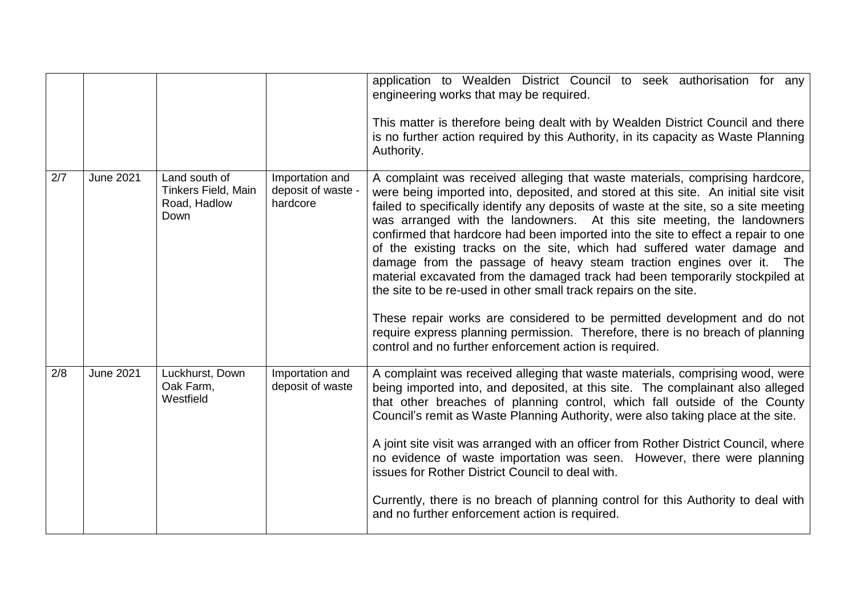|     |                  |                                                              |                                                   | application to Wealden District Council to seek authorisation for any<br>engineering works that may be required.<br>This matter is therefore being dealt with by Wealden District Council and there<br>is no further action required by this Authority, in its capacity as Waste Planning<br>Authority.                                                                                                                                                                                                                                                                                                                                                                                                                                                                                                                                                                                                                                                   |
|-----|------------------|--------------------------------------------------------------|---------------------------------------------------|-----------------------------------------------------------------------------------------------------------------------------------------------------------------------------------------------------------------------------------------------------------------------------------------------------------------------------------------------------------------------------------------------------------------------------------------------------------------------------------------------------------------------------------------------------------------------------------------------------------------------------------------------------------------------------------------------------------------------------------------------------------------------------------------------------------------------------------------------------------------------------------------------------------------------------------------------------------|
| 2/7 | <b>June 2021</b> | Land south of<br>Tinkers Field, Main<br>Road, Hadlow<br>Down | Importation and<br>deposit of waste -<br>hardcore | A complaint was received alleging that waste materials, comprising hardcore,<br>were being imported into, deposited, and stored at this site. An initial site visit<br>failed to specifically identify any deposits of waste at the site, so a site meeting<br>was arranged with the landowners. At this site meeting, the landowners<br>confirmed that hardcore had been imported into the site to effect a repair to one<br>of the existing tracks on the site, which had suffered water damage and<br>damage from the passage of heavy steam traction engines over it. The<br>material excavated from the damaged track had been temporarily stockpiled at<br>the site to be re-used in other small track repairs on the site.<br>These repair works are considered to be permitted development and do not<br>require express planning permission. Therefore, there is no breach of planning<br>control and no further enforcement action is required. |
| 2/8 | June 2021        | Luckhurst, Down<br>Oak Farm,<br>Westfield                    | Importation and<br>deposit of waste               | A complaint was received alleging that waste materials, comprising wood, were<br>being imported into, and deposited, at this site. The complainant also alleged<br>that other breaches of planning control, which fall outside of the County<br>Council's remit as Waste Planning Authority, were also taking place at the site.<br>A joint site visit was arranged with an officer from Rother District Council, where<br>no evidence of waste importation was seen. However, there were planning<br>issues for Rother District Council to deal with.<br>Currently, there is no breach of planning control for this Authority to deal with<br>and no further enforcement action is required.                                                                                                                                                                                                                                                             |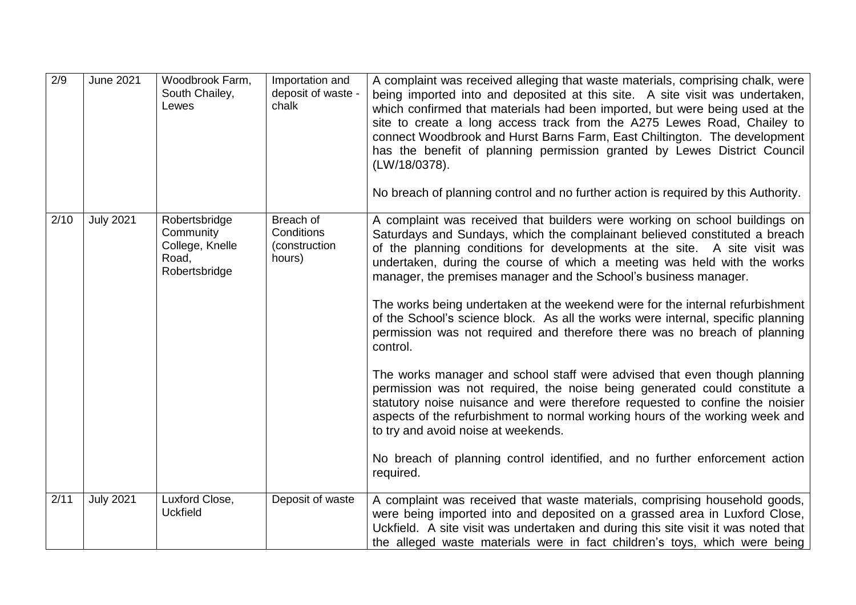| 2/9  | <b>June 2021</b> | Woodbrook Farm,<br>South Chailey,<br>Lewes                              | Importation and<br>deposit of waste -<br>chalk     | A complaint was received alleging that waste materials, comprising chalk, were<br>being imported into and deposited at this site. A site visit was undertaken,<br>which confirmed that materials had been imported, but were being used at the<br>site to create a long access track from the A275 Lewes Road, Chailey to<br>connect Woodbrook and Hurst Barns Farm, East Chiltington. The development<br>has the benefit of planning permission granted by Lewes District Council<br>(LW/18/0378).<br>No breach of planning control and no further action is required by this Authority.                                                                                                                                                                                                                                                                                                                                                                                                                                                                                                                        |
|------|------------------|-------------------------------------------------------------------------|----------------------------------------------------|------------------------------------------------------------------------------------------------------------------------------------------------------------------------------------------------------------------------------------------------------------------------------------------------------------------------------------------------------------------------------------------------------------------------------------------------------------------------------------------------------------------------------------------------------------------------------------------------------------------------------------------------------------------------------------------------------------------------------------------------------------------------------------------------------------------------------------------------------------------------------------------------------------------------------------------------------------------------------------------------------------------------------------------------------------------------------------------------------------------|
| 2/10 | <b>July 2021</b> | Robertsbridge<br>Community<br>College, Knelle<br>Road,<br>Robertsbridge | Breach of<br>Conditions<br>(construction<br>hours) | A complaint was received that builders were working on school buildings on<br>Saturdays and Sundays, which the complainant believed constituted a breach<br>of the planning conditions for developments at the site. A site visit was<br>undertaken, during the course of which a meeting was held with the works<br>manager, the premises manager and the School's business manager.<br>The works being undertaken at the weekend were for the internal refurbishment<br>of the School's science block. As all the works were internal, specific planning<br>permission was not required and therefore there was no breach of planning<br>control.<br>The works manager and school staff were advised that even though planning<br>permission was not required, the noise being generated could constitute a<br>statutory noise nuisance and were therefore requested to confine the noisier<br>aspects of the refurbishment to normal working hours of the working week and<br>to try and avoid noise at weekends.<br>No breach of planning control identified, and no further enforcement action<br>required. |
| 2/11 | <b>July 2021</b> | Luxford Close,<br><b>Uckfield</b>                                       | Deposit of waste                                   | A complaint was received that waste materials, comprising household goods,<br>were being imported into and deposited on a grassed area in Luxford Close,<br>Uckfield. A site visit was undertaken and during this site visit it was noted that<br>the alleged waste materials were in fact children's toys, which were being                                                                                                                                                                                                                                                                                                                                                                                                                                                                                                                                                                                                                                                                                                                                                                                     |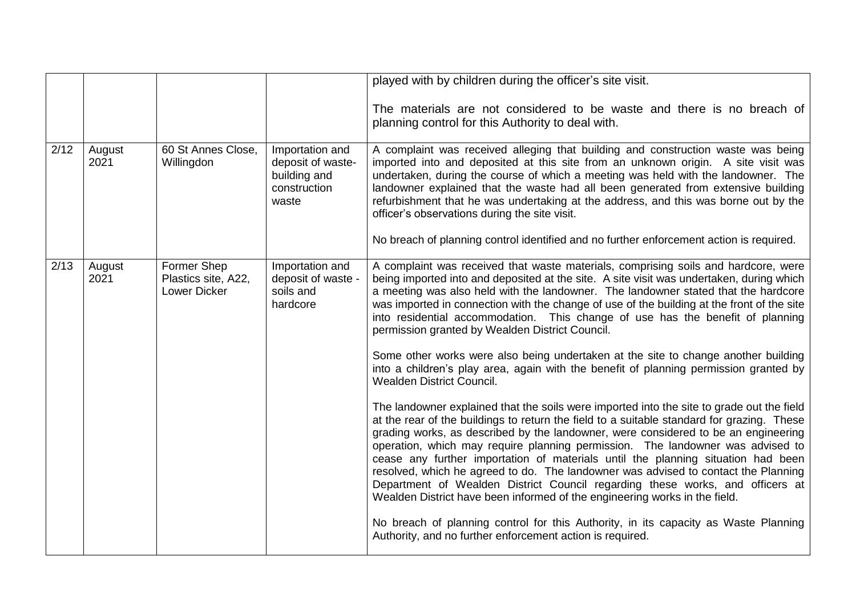|      |                |                                                    |                                                                               | played with by children during the officer's site visit.                                                                                                                                                                                                                                                                                                                                                                                                                                                                                                                                                                                                                                                 |
|------|----------------|----------------------------------------------------|-------------------------------------------------------------------------------|----------------------------------------------------------------------------------------------------------------------------------------------------------------------------------------------------------------------------------------------------------------------------------------------------------------------------------------------------------------------------------------------------------------------------------------------------------------------------------------------------------------------------------------------------------------------------------------------------------------------------------------------------------------------------------------------------------|
|      |                |                                                    |                                                                               | The materials are not considered to be waste and there is no breach of<br>planning control for this Authority to deal with.                                                                                                                                                                                                                                                                                                                                                                                                                                                                                                                                                                              |
| 2/12 | August<br>2021 | 60 St Annes Close,<br>Willingdon                   | Importation and<br>deposit of waste-<br>building and<br>construction<br>waste | A complaint was received alleging that building and construction waste was being<br>imported into and deposited at this site from an unknown origin. A site visit was<br>undertaken, during the course of which a meeting was held with the landowner. The<br>landowner explained that the waste had all been generated from extensive building<br>refurbishment that he was undertaking at the address, and this was borne out by the<br>officer's observations during the site visit.                                                                                                                                                                                                                  |
|      |                |                                                    |                                                                               | No breach of planning control identified and no further enforcement action is required.                                                                                                                                                                                                                                                                                                                                                                                                                                                                                                                                                                                                                  |
| 2/13 | August<br>2021 | Former Shep<br>Plastics site, A22,<br>Lower Dicker | Importation and<br>deposit of waste -<br>soils and<br>hardcore                | A complaint was received that waste materials, comprising soils and hardcore, were<br>being imported into and deposited at the site. A site visit was undertaken, during which<br>a meeting was also held with the landowner. The landowner stated that the hardcore<br>was imported in connection with the change of use of the building at the front of the site<br>into residential accommodation. This change of use has the benefit of planning<br>permission granted by Wealden District Council.                                                                                                                                                                                                  |
|      |                |                                                    |                                                                               | Some other works were also being undertaken at the site to change another building<br>into a children's play area, again with the benefit of planning permission granted by<br><b>Wealden District Council.</b>                                                                                                                                                                                                                                                                                                                                                                                                                                                                                          |
|      |                |                                                    |                                                                               | The landowner explained that the soils were imported into the site to grade out the field<br>at the rear of the buildings to return the field to a suitable standard for grazing. These<br>grading works, as described by the landowner, were considered to be an engineering<br>operation, which may require planning permission. The landowner was advised to<br>cease any further importation of materials until the planning situation had been<br>resolved, which he agreed to do. The landowner was advised to contact the Planning<br>Department of Wealden District Council regarding these works, and officers at<br>Wealden District have been informed of the engineering works in the field. |
|      |                |                                                    |                                                                               | No breach of planning control for this Authority, in its capacity as Waste Planning<br>Authority, and no further enforcement action is required.                                                                                                                                                                                                                                                                                                                                                                                                                                                                                                                                                         |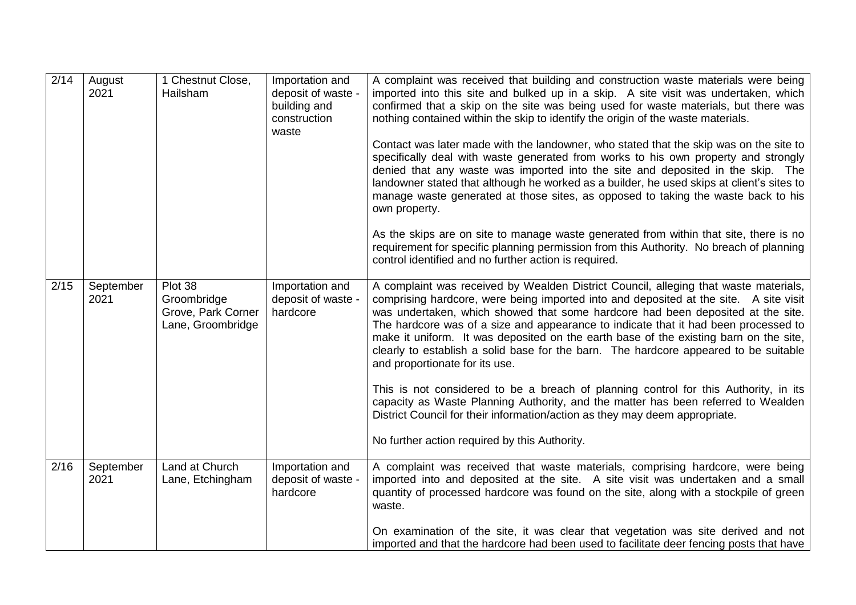| 2/14 | August<br>2021    | 1 Chestnut Close,<br>Hailsham                                     | Importation and<br>deposit of waste -<br>building and<br>construction<br>waste | A complaint was received that building and construction waste materials were being<br>imported into this site and bulked up in a skip. A site visit was undertaken, which<br>confirmed that a skip on the site was being used for waste materials, but there was<br>nothing contained within the skip to identify the origin of the waste materials.<br>Contact was later made with the landowner, who stated that the skip was on the site to<br>specifically deal with waste generated from works to his own property and strongly<br>denied that any waste was imported into the site and deposited in the skip. The<br>landowner stated that although he worked as a builder, he used skips at client's sites to<br>manage waste generated at those sites, as opposed to taking the waste back to his<br>own property.<br>As the skips are on site to manage waste generated from within that site, there is no<br>requirement for specific planning permission from this Authority. No breach of planning<br>control identified and no further action is required. |
|------|-------------------|-------------------------------------------------------------------|--------------------------------------------------------------------------------|-------------------------------------------------------------------------------------------------------------------------------------------------------------------------------------------------------------------------------------------------------------------------------------------------------------------------------------------------------------------------------------------------------------------------------------------------------------------------------------------------------------------------------------------------------------------------------------------------------------------------------------------------------------------------------------------------------------------------------------------------------------------------------------------------------------------------------------------------------------------------------------------------------------------------------------------------------------------------------------------------------------------------------------------------------------------------|
| 2/15 | September<br>2021 | Plot 38<br>Groombridge<br>Grove, Park Corner<br>Lane, Groombridge | Importation and<br>deposit of waste -<br>hardcore                              | A complaint was received by Wealden District Council, alleging that waste materials,<br>comprising hardcore, were being imported into and deposited at the site. A site visit<br>was undertaken, which showed that some hardcore had been deposited at the site.<br>The hardcore was of a size and appearance to indicate that it had been processed to<br>make it uniform. It was deposited on the earth base of the existing barn on the site,<br>clearly to establish a solid base for the barn. The hardcore appeared to be suitable<br>and proportionate for its use.<br>This is not considered to be a breach of planning control for this Authority, in its<br>capacity as Waste Planning Authority, and the matter has been referred to Wealden<br>District Council for their information/action as they may deem appropriate.<br>No further action required by this Authority.                                                                                                                                                                                 |
| 2/16 | September<br>2021 | Land at Church<br>Lane, Etchingham                                | Importation and<br>deposit of waste -<br>hardcore                              | A complaint was received that waste materials, comprising hardcore, were being<br>imported into and deposited at the site. A site visit was undertaken and a small<br>quantity of processed hardcore was found on the site, along with a stockpile of green<br>waste.<br>On examination of the site, it was clear that vegetation was site derived and not<br>imported and that the hardcore had been used to facilitate deer fencing posts that have                                                                                                                                                                                                                                                                                                                                                                                                                                                                                                                                                                                                                   |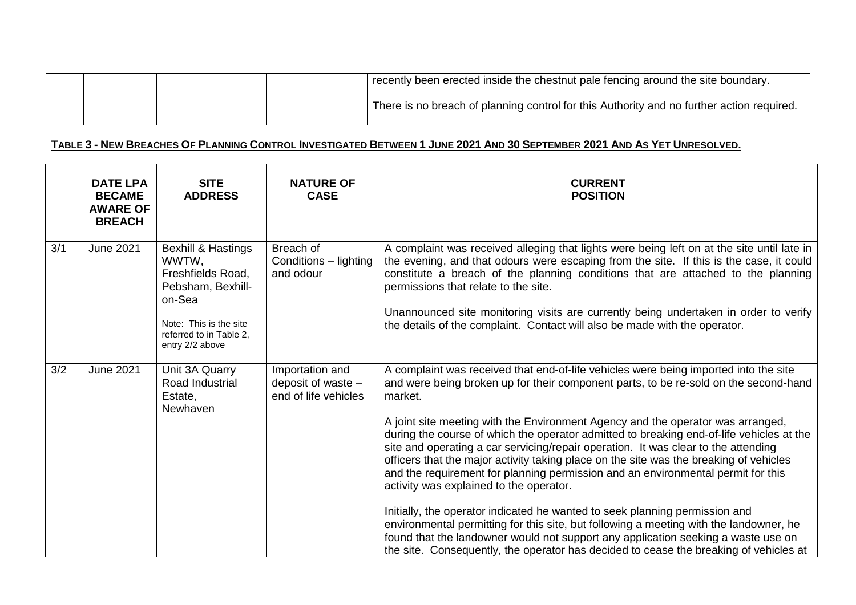|  |  | recently been erected inside the chestnut pale fencing around the site boundary.          |
|--|--|-------------------------------------------------------------------------------------------|
|  |  | There is no breach of planning control for this Authority and no further action required. |

# TABLE 3 - NEW BREACHES OF PLANNING CONTROL INVESTIGATED BETWEEN 1 JUNE 2021 AND 30 SEPTEMBER 2021 AND AS YET UNRESOLVED.

|     | <b>DATE LPA</b><br><b>BECAME</b><br><b>AWARE OF</b><br><b>BREACH</b> | <b>SITE</b><br><b>ADDRESS</b>                                                                                                                                      | <b>NATURE OF</b><br><b>CASE</b>                                 | <b>CURRENT</b><br><b>POSITION</b>                                                                                                                                                                                                                                                                                                                                                                                                                                                                                                                                                                                                                                                                                                                                                                                                                                                                                                                                                                                                            |
|-----|----------------------------------------------------------------------|--------------------------------------------------------------------------------------------------------------------------------------------------------------------|-----------------------------------------------------------------|----------------------------------------------------------------------------------------------------------------------------------------------------------------------------------------------------------------------------------------------------------------------------------------------------------------------------------------------------------------------------------------------------------------------------------------------------------------------------------------------------------------------------------------------------------------------------------------------------------------------------------------------------------------------------------------------------------------------------------------------------------------------------------------------------------------------------------------------------------------------------------------------------------------------------------------------------------------------------------------------------------------------------------------------|
| 3/1 | <b>June 2021</b>                                                     | <b>Bexhill &amp; Hastings</b><br>WWTW,<br>Freshfields Road,<br>Pebsham, Bexhill-<br>on-Sea<br>Note: This is the site<br>referred to in Table 2,<br>entry 2/2 above | Breach of<br>Conditions - lighting<br>and odour                 | A complaint was received alleging that lights were being left on at the site until late in<br>the evening, and that odours were escaping from the site. If this is the case, it could<br>constitute a breach of the planning conditions that are attached to the planning<br>permissions that relate to the site.<br>Unannounced site monitoring visits are currently being undertaken in order to verify<br>the details of the complaint. Contact will also be made with the operator.                                                                                                                                                                                                                                                                                                                                                                                                                                                                                                                                                      |
| 3/2 | <b>June 2021</b>                                                     | Unit 3A Quarry<br>Road Industrial<br>Estate,<br>Newhaven                                                                                                           | Importation and<br>deposit of waste $-$<br>end of life vehicles | A complaint was received that end-of-life vehicles were being imported into the site<br>and were being broken up for their component parts, to be re-sold on the second-hand<br>market.<br>A joint site meeting with the Environment Agency and the operator was arranged,<br>during the course of which the operator admitted to breaking end-of-life vehicles at the<br>site and operating a car servicing/repair operation. It was clear to the attending<br>officers that the major activity taking place on the site was the breaking of vehicles<br>and the requirement for planning permission and an environmental permit for this<br>activity was explained to the operator.<br>Initially, the operator indicated he wanted to seek planning permission and<br>environmental permitting for this site, but following a meeting with the landowner, he<br>found that the landowner would not support any application seeking a waste use on<br>the site. Consequently, the operator has decided to cease the breaking of vehicles at |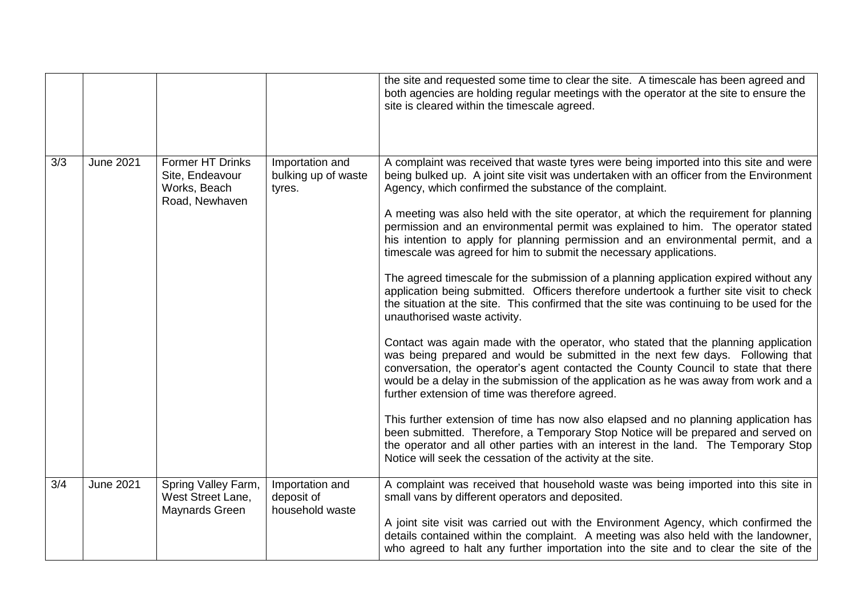|     |                  |                                                                              |                                                  | the site and requested some time to clear the site. A timescale has been agreed and<br>both agencies are holding regular meetings with the operator at the site to ensure the<br>site is cleared within the timescale agreed.                                                                                                                                                                                                                                                                                                                                                                                                                                                                                                                                                                                                                                                                                                                                                                                                                                                                                                                                                                                                                                                                                                                                                                                                                                                                                                                                                                                                                    |
|-----|------------------|------------------------------------------------------------------------------|--------------------------------------------------|--------------------------------------------------------------------------------------------------------------------------------------------------------------------------------------------------------------------------------------------------------------------------------------------------------------------------------------------------------------------------------------------------------------------------------------------------------------------------------------------------------------------------------------------------------------------------------------------------------------------------------------------------------------------------------------------------------------------------------------------------------------------------------------------------------------------------------------------------------------------------------------------------------------------------------------------------------------------------------------------------------------------------------------------------------------------------------------------------------------------------------------------------------------------------------------------------------------------------------------------------------------------------------------------------------------------------------------------------------------------------------------------------------------------------------------------------------------------------------------------------------------------------------------------------------------------------------------------------------------------------------------------------|
| 3/3 | <b>June 2021</b> | <b>Former HT Drinks</b><br>Site, Endeavour<br>Works, Beach<br>Road, Newhaven | Importation and<br>bulking up of waste<br>tyres. | A complaint was received that waste tyres were being imported into this site and were<br>being bulked up. A joint site visit was undertaken with an officer from the Environment<br>Agency, which confirmed the substance of the complaint.<br>A meeting was also held with the site operator, at which the requirement for planning<br>permission and an environmental permit was explained to him. The operator stated<br>his intention to apply for planning permission and an environmental permit, and a<br>timescale was agreed for him to submit the necessary applications.<br>The agreed timescale for the submission of a planning application expired without any<br>application being submitted. Officers therefore undertook a further site visit to check<br>the situation at the site. This confirmed that the site was continuing to be used for the<br>unauthorised waste activity.<br>Contact was again made with the operator, who stated that the planning application<br>was being prepared and would be submitted in the next few days. Following that<br>conversation, the operator's agent contacted the County Council to state that there<br>would be a delay in the submission of the application as he was away from work and a<br>further extension of time was therefore agreed.<br>This further extension of time has now also elapsed and no planning application has<br>been submitted. Therefore, a Temporary Stop Notice will be prepared and served on<br>the operator and all other parties with an interest in the land. The Temporary Stop<br>Notice will seek the cessation of the activity at the site. |
| 3/4 | <b>June 2021</b> | Spring Valley Farm,<br>West Street Lane,<br>Maynards Green                   | Importation and<br>deposit of<br>household waste | A complaint was received that household waste was being imported into this site in<br>small vans by different operators and deposited.<br>A joint site visit was carried out with the Environment Agency, which confirmed the<br>details contained within the complaint. A meeting was also held with the landowner,<br>who agreed to halt any further importation into the site and to clear the site of the                                                                                                                                                                                                                                                                                                                                                                                                                                                                                                                                                                                                                                                                                                                                                                                                                                                                                                                                                                                                                                                                                                                                                                                                                                    |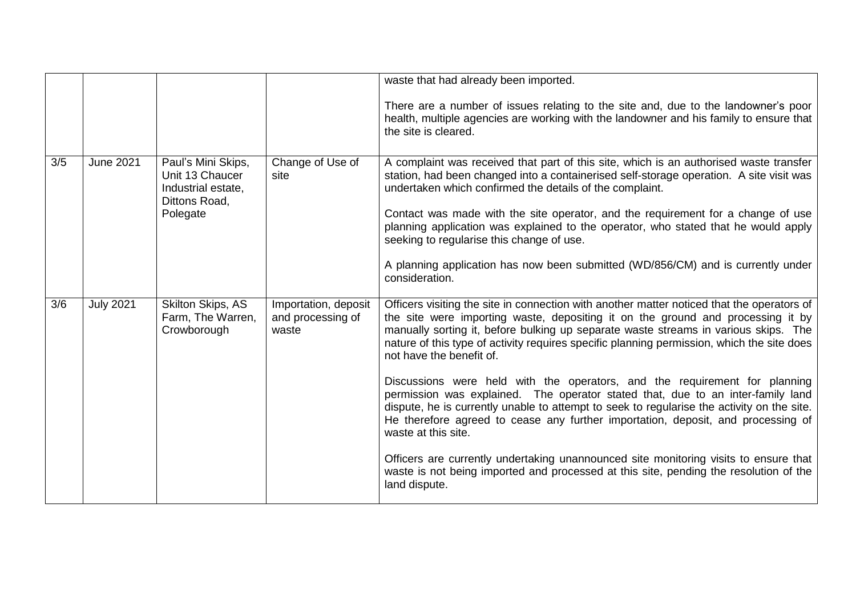|     |                  |                                                                                          |                                                    | waste that had already been imported.                                                                                                                                                                                                                                                                                                                                                                                                                                                                                                                    |
|-----|------------------|------------------------------------------------------------------------------------------|----------------------------------------------------|----------------------------------------------------------------------------------------------------------------------------------------------------------------------------------------------------------------------------------------------------------------------------------------------------------------------------------------------------------------------------------------------------------------------------------------------------------------------------------------------------------------------------------------------------------|
|     |                  |                                                                                          |                                                    | There are a number of issues relating to the site and, due to the landowner's poor<br>health, multiple agencies are working with the landowner and his family to ensure that<br>the site is cleared.                                                                                                                                                                                                                                                                                                                                                     |
| 3/5 | <b>June 2021</b> | Paul's Mini Skips,<br>Unit 13 Chaucer<br>Industrial estate,<br>Dittons Road,<br>Polegate | Change of Use of<br>site                           | A complaint was received that part of this site, which is an authorised waste transfer<br>station, had been changed into a containerised self-storage operation. A site visit was<br>undertaken which confirmed the details of the complaint.<br>Contact was made with the site operator, and the requirement for a change of use<br>planning application was explained to the operator, who stated that he would apply<br>seeking to regularise this change of use.<br>A planning application has now been submitted (WD/856/CM) and is currently under |
|     |                  |                                                                                          |                                                    | consideration.                                                                                                                                                                                                                                                                                                                                                                                                                                                                                                                                           |
| 3/6 | <b>July 2021</b> | Skilton Skips, AS<br>Farm, The Warren,<br>Crowborough                                    | Importation, deposit<br>and processing of<br>waste | Officers visiting the site in connection with another matter noticed that the operators of<br>the site were importing waste, depositing it on the ground and processing it by<br>manually sorting it, before bulking up separate waste streams in various skips. The<br>nature of this type of activity requires specific planning permission, which the site does<br>not have the benefit of.                                                                                                                                                           |
|     |                  |                                                                                          |                                                    | Discussions were held with the operators, and the requirement for planning<br>permission was explained. The operator stated that, due to an inter-family land<br>dispute, he is currently unable to attempt to seek to regularise the activity on the site.<br>He therefore agreed to cease any further importation, deposit, and processing of<br>waste at this site.                                                                                                                                                                                   |
|     |                  |                                                                                          |                                                    | Officers are currently undertaking unannounced site monitoring visits to ensure that<br>waste is not being imported and processed at this site, pending the resolution of the<br>land dispute.                                                                                                                                                                                                                                                                                                                                                           |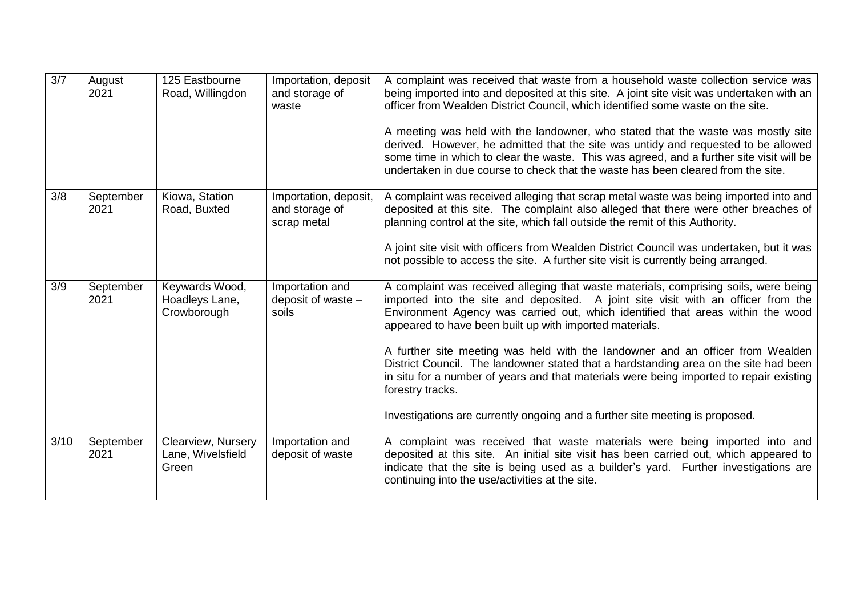| 3/7  | August<br>2021    | 125 Eastbourne<br>Road, Willingdon               | Importation, deposit<br>and storage of<br>waste        | A complaint was received that waste from a household waste collection service was<br>being imported into and deposited at this site. A joint site visit was undertaken with an<br>officer from Wealden District Council, which identified some waste on the site.<br>A meeting was held with the landowner, who stated that the waste was mostly site<br>derived. However, he admitted that the site was untidy and requested to be allowed<br>some time in which to clear the waste. This was agreed, and a further site visit will be<br>undertaken in due course to check that the waste has been cleared from the site.                                                                      |
|------|-------------------|--------------------------------------------------|--------------------------------------------------------|--------------------------------------------------------------------------------------------------------------------------------------------------------------------------------------------------------------------------------------------------------------------------------------------------------------------------------------------------------------------------------------------------------------------------------------------------------------------------------------------------------------------------------------------------------------------------------------------------------------------------------------------------------------------------------------------------|
| 3/8  | September<br>2021 | Kiowa, Station<br>Road, Buxted                   | Importation, deposit,<br>and storage of<br>scrap metal | A complaint was received alleging that scrap metal waste was being imported into and<br>deposited at this site. The complaint also alleged that there were other breaches of<br>planning control at the site, which fall outside the remit of this Authority.<br>A joint site visit with officers from Wealden District Council was undertaken, but it was<br>not possible to access the site. A further site visit is currently being arranged.                                                                                                                                                                                                                                                 |
| 3/9  | September<br>2021 | Keywards Wood,<br>Hoadleys Lane,<br>Crowborough  | Importation and<br>deposit of waste $-$<br>soils       | A complaint was received alleging that waste materials, comprising soils, were being<br>imported into the site and deposited. A joint site visit with an officer from the<br>Environment Agency was carried out, which identified that areas within the wood<br>appeared to have been built up with imported materials.<br>A further site meeting was held with the landowner and an officer from Wealden<br>District Council. The landowner stated that a hardstanding area on the site had been<br>in situ for a number of years and that materials were being imported to repair existing<br>forestry tracks.<br>Investigations are currently ongoing and a further site meeting is proposed. |
| 3/10 | September<br>2021 | Clearview, Nursery<br>Lane, Wivelsfield<br>Green | Importation and<br>deposit of waste                    | A complaint was received that waste materials were being imported into and<br>deposited at this site. An initial site visit has been carried out, which appeared to<br>indicate that the site is being used as a builder's yard. Further investigations are<br>continuing into the use/activities at the site.                                                                                                                                                                                                                                                                                                                                                                                   |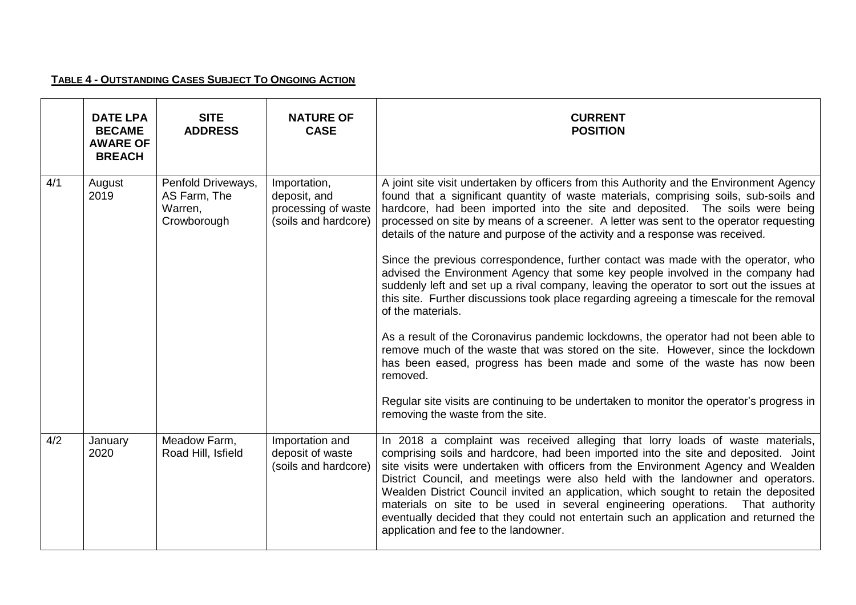# **TABLE 4 - OUTSTANDING CASES SUBJECT TO ONGOING ACTION**

|     | <b>DATE LPA</b><br><b>BECAME</b><br><b>AWARE OF</b><br><b>BREACH</b> | <b>SITE</b><br><b>ADDRESS</b>                                | <b>NATURE OF</b><br><b>CASE</b>                                             | <b>CURRENT</b><br><b>POSITION</b>                                                                                                                                                                                                                                                                                                                                                                                                                                                                                                                                                                                                                                                                                                                                                                                                                                                                                                                                                                                                                                                              |
|-----|----------------------------------------------------------------------|--------------------------------------------------------------|-----------------------------------------------------------------------------|------------------------------------------------------------------------------------------------------------------------------------------------------------------------------------------------------------------------------------------------------------------------------------------------------------------------------------------------------------------------------------------------------------------------------------------------------------------------------------------------------------------------------------------------------------------------------------------------------------------------------------------------------------------------------------------------------------------------------------------------------------------------------------------------------------------------------------------------------------------------------------------------------------------------------------------------------------------------------------------------------------------------------------------------------------------------------------------------|
| 4/1 | August<br>2019                                                       | Penfold Driveways,<br>AS Farm, The<br>Warren,<br>Crowborough | Importation,<br>deposit, and<br>processing of waste<br>(soils and hardcore) | A joint site visit undertaken by officers from this Authority and the Environment Agency<br>found that a significant quantity of waste materials, comprising soils, sub-soils and<br>hardcore, had been imported into the site and deposited. The soils were being<br>processed on site by means of a screener. A letter was sent to the operator requesting<br>details of the nature and purpose of the activity and a response was received.<br>Since the previous correspondence, further contact was made with the operator, who<br>advised the Environment Agency that some key people involved in the company had<br>suddenly left and set up a rival company, leaving the operator to sort out the issues at<br>this site. Further discussions took place regarding agreeing a timescale for the removal<br>of the materials.<br>As a result of the Coronavirus pandemic lockdowns, the operator had not been able to<br>remove much of the waste that was stored on the site. However, since the lockdown<br>has been eased, progress has been made and some of the waste has now been |
|     |                                                                      |                                                              |                                                                             | removed.<br>Regular site visits are continuing to be undertaken to monitor the operator's progress in<br>removing the waste from the site.                                                                                                                                                                                                                                                                                                                                                                                                                                                                                                                                                                                                                                                                                                                                                                                                                                                                                                                                                     |
| 4/2 | January<br>2020                                                      | Meadow Farm,<br>Road Hill, Isfield                           | Importation and<br>deposit of waste<br>(soils and hardcore)                 | In 2018 a complaint was received alleging that lorry loads of waste materials,<br>comprising soils and hardcore, had been imported into the site and deposited. Joint<br>site visits were undertaken with officers from the Environment Agency and Wealden<br>District Council, and meetings were also held with the landowner and operators.<br>Wealden District Council invited an application, which sought to retain the deposited<br>materials on site to be used in several engineering operations. That authority<br>eventually decided that they could not entertain such an application and returned the<br>application and fee to the landowner.                                                                                                                                                                                                                                                                                                                                                                                                                                     |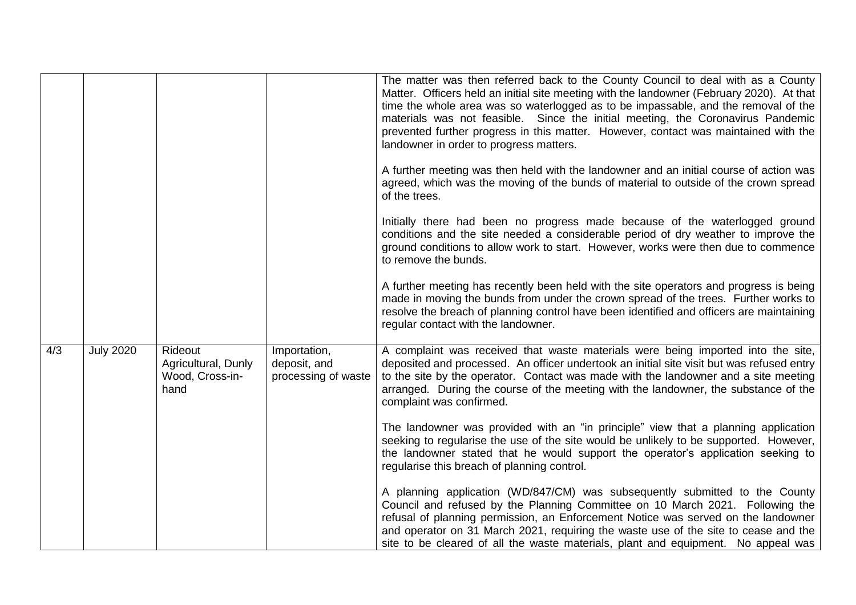|     |                  |                                                           |                                                     | The matter was then referred back to the County Council to deal with as a County<br>Matter. Officers held an initial site meeting with the landowner (February 2020). At that<br>time the whole area was so waterlogged as to be impassable, and the removal of the<br>materials was not feasible. Since the initial meeting, the Coronavirus Pandemic<br>prevented further progress in this matter. However, contact was maintained with the<br>landowner in order to progress matters. |
|-----|------------------|-----------------------------------------------------------|-----------------------------------------------------|------------------------------------------------------------------------------------------------------------------------------------------------------------------------------------------------------------------------------------------------------------------------------------------------------------------------------------------------------------------------------------------------------------------------------------------------------------------------------------------|
|     |                  |                                                           |                                                     | A further meeting was then held with the landowner and an initial course of action was<br>agreed, which was the moving of the bunds of material to outside of the crown spread<br>of the trees.                                                                                                                                                                                                                                                                                          |
|     |                  |                                                           |                                                     | Initially there had been no progress made because of the waterlogged ground<br>conditions and the site needed a considerable period of dry weather to improve the<br>ground conditions to allow work to start. However, works were then due to commence<br>to remove the bunds.                                                                                                                                                                                                          |
|     |                  |                                                           |                                                     | A further meeting has recently been held with the site operators and progress is being<br>made in moving the bunds from under the crown spread of the trees. Further works to<br>resolve the breach of planning control have been identified and officers are maintaining<br>regular contact with the landowner.                                                                                                                                                                         |
| 4/3 | <b>July 2020</b> | Rideout<br>Agricultural, Dunly<br>Wood, Cross-in-<br>hand | Importation,<br>deposit, and<br>processing of waste | A complaint was received that waste materials were being imported into the site,<br>deposited and processed. An officer undertook an initial site visit but was refused entry<br>to the site by the operator. Contact was made with the landowner and a site meeting<br>arranged. During the course of the meeting with the landowner, the substance of the<br>complaint was confirmed.                                                                                                  |
|     |                  |                                                           |                                                     | The landowner was provided with an "in principle" view that a planning application<br>seeking to regularise the use of the site would be unlikely to be supported. However,<br>the landowner stated that he would support the operator's application seeking to<br>regularise this breach of planning control.                                                                                                                                                                           |
|     |                  |                                                           |                                                     | A planning application (WD/847/CM) was subsequently submitted to the County<br>Council and refused by the Planning Committee on 10 March 2021. Following the<br>refusal of planning permission, an Enforcement Notice was served on the landowner<br>and operator on 31 March 2021, requiring the waste use of the site to cease and the<br>site to be cleared of all the waste materials, plant and equipment. No appeal was                                                            |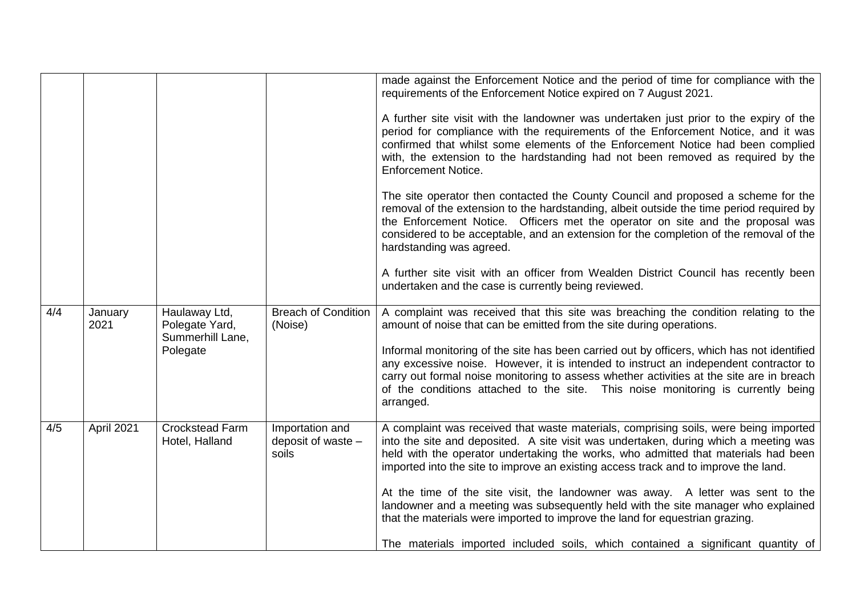|     |                 |                                                     |                                                | made against the Enforcement Notice and the period of time for compliance with the<br>requirements of the Enforcement Notice expired on 7 August 2021.<br>A further site visit with the landowner was undertaken just prior to the expiry of the                                                                                                                                      |
|-----|-----------------|-----------------------------------------------------|------------------------------------------------|---------------------------------------------------------------------------------------------------------------------------------------------------------------------------------------------------------------------------------------------------------------------------------------------------------------------------------------------------------------------------------------|
|     |                 |                                                     |                                                | period for compliance with the requirements of the Enforcement Notice, and it was<br>confirmed that whilst some elements of the Enforcement Notice had been complied<br>with, the extension to the hardstanding had not been removed as required by the<br><b>Enforcement Notice.</b>                                                                                                 |
|     |                 |                                                     |                                                | The site operator then contacted the County Council and proposed a scheme for the<br>removal of the extension to the hardstanding, albeit outside the time period required by<br>the Enforcement Notice. Officers met the operator on site and the proposal was<br>considered to be acceptable, and an extension for the completion of the removal of the<br>hardstanding was agreed. |
|     |                 |                                                     |                                                | A further site visit with an officer from Wealden District Council has recently been<br>undertaken and the case is currently being reviewed.                                                                                                                                                                                                                                          |
| 4/4 | January<br>2021 | Haulaway Ltd,<br>Polegate Yard,<br>Summerhill Lane, | <b>Breach of Condition</b><br>(Noise)          | A complaint was received that this site was breaching the condition relating to the<br>amount of noise that can be emitted from the site during operations.                                                                                                                                                                                                                           |
|     |                 | Polegate                                            |                                                | Informal monitoring of the site has been carried out by officers, which has not identified<br>any excessive noise. However, it is intended to instruct an independent contractor to<br>carry out formal noise monitoring to assess whether activities at the site are in breach<br>of the conditions attached to the site. This noise monitoring is currently being<br>arranged.      |
| 4/5 | April 2021      | <b>Crockstead Farm</b><br>Hotel, Halland            | Importation and<br>deposit of waste -<br>soils | A complaint was received that waste materials, comprising soils, were being imported<br>into the site and deposited. A site visit was undertaken, during which a meeting was<br>held with the operator undertaking the works, who admitted that materials had been<br>imported into the site to improve an existing access track and to improve the land.                             |
|     |                 |                                                     |                                                | At the time of the site visit, the landowner was away. A letter was sent to the<br>landowner and a meeting was subsequently held with the site manager who explained<br>that the materials were imported to improve the land for equestrian grazing.                                                                                                                                  |
|     |                 |                                                     |                                                | The materials imported included soils, which contained a significant quantity of                                                                                                                                                                                                                                                                                                      |